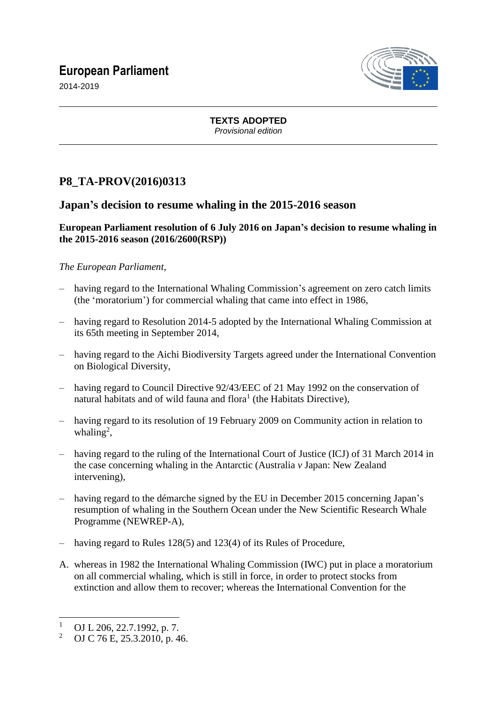# **European Parliament**



2014-2019

**TEXTS ADOPTED** *Provisional edition*

## **P8\_TA-PROV(2016)0313**

### **Japan's decision to resume whaling in the 2015-2016 season**

#### **European Parliament resolution of 6 July 2016 on Japan's decision to resume whaling in the 2015-2016 season (2016/2600(RSP))**

### *The European Parliament*,

- having regard to the International Whaling Commission's agreement on zero catch limits (the 'moratorium') for commercial whaling that came into effect in 1986,
- having regard to Resolution 2014-5 adopted by the International Whaling Commission at its 65th meeting in September 2014,
- having regard to the Aichi Biodiversity Targets agreed under the International Convention on Biological Diversity,
- having regard to Council Directive 92/43/EEC of 21 May 1992 on the conservation of natural habitats and of wild fauna and flora<sup>1</sup> (the Habitats Directive),
- having regard to its resolution of 19 February 2009 on Community action in relation to whaling<sup>2</sup>,
- having regard to the ruling of the International Court of Justice (ICJ) of 31 March 2014 in the case concerning whaling in the Antarctic (Australia *v* Japan: New Zealand intervening),
- having regard to the démarche signed by the EU in December 2015 concerning Japan's resumption of whaling in the Southern Ocean under the New Scientific Research Whale Programme (NEWREP-A),
- having regard to Rules 128(5) and 123(4) of its Rules of Procedure,
- A. whereas in 1982 the International Whaling Commission (IWC) put in place a moratorium on all commercial whaling, which is still in force, in order to protect stocks from extinction and allow them to recover; whereas the International Convention for the

 $\overline{a}$ 

 $\frac{1}{2}$  OJ L 206, 22.7.1992, p. 7.<br> $\frac{2}{1}$  OJ C 76 E 25.3.2010, p. 4.

<sup>2</sup> OJ C 76 E, 25.3.2010, p. 46.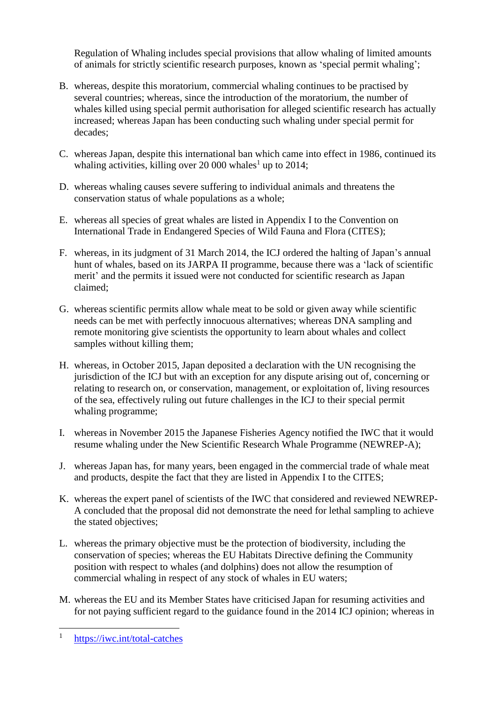Regulation of Whaling includes special provisions that allow whaling of limited amounts of animals for strictly scientific research purposes, known as 'special permit whaling';

- B. whereas, despite this moratorium, commercial whaling continues to be practised by several countries; whereas, since the introduction of the moratorium, the number of whales killed using special permit authorisation for alleged scientific research has actually increased; whereas Japan has been conducting such whaling under special permit for decades;
- C. whereas Japan, despite this international ban which came into effect in 1986, continued its whaling activities, killing over 20 000 whales<sup>1</sup> up to 2014;
- D. whereas whaling causes severe suffering to individual animals and threatens the conservation status of whale populations as a whole;
- E. whereas all species of great whales are listed in Appendix I to the Convention on International Trade in Endangered Species of Wild Fauna and Flora (CITES);
- F. whereas, in its judgment of 31 March 2014, the ICJ ordered the halting of Japan's annual hunt of whales, based on its JARPA II programme, because there was a 'lack of scientific merit' and the permits it issued were not conducted for scientific research as Japan claimed;
- G. whereas scientific permits allow whale meat to be sold or given away while scientific needs can be met with perfectly innocuous alternatives; whereas DNA sampling and remote monitoring give scientists the opportunity to learn about whales and collect samples without killing them;
- H. whereas, in October 2015, Japan deposited a declaration with the UN recognising the jurisdiction of the ICJ but with an exception for any dispute arising out of, concerning or relating to research on, or conservation, management, or exploitation of, living resources of the sea, effectively ruling out future challenges in the ICJ to their special permit whaling programme;
- I. whereas in November 2015 the Japanese Fisheries Agency notified the IWC that it would resume whaling under the New Scientific Research Whale Programme (NEWREP-A);
- J. whereas Japan has, for many years, been engaged in the commercial trade of whale meat and products, despite the fact that they are listed in Appendix I to the CITES;
- K. whereas the expert panel of scientists of the IWC that considered and reviewed NEWREP-A concluded that the proposal did not demonstrate the need for lethal sampling to achieve the stated objectives;
- L. whereas the primary objective must be the protection of biodiversity, including the conservation of species; whereas the EU Habitats Directive defining the Community position with respect to whales (and dolphins) does not allow the resumption of commercial whaling in respect of any stock of whales in EU waters;
- M. whereas the EU and its Member States have criticised Japan for resuming activities and for not paying sufficient regard to the guidance found in the 2014 ICJ opinion; whereas in

 $\overline{a}$ 1 <https://iwc.int/total-catches>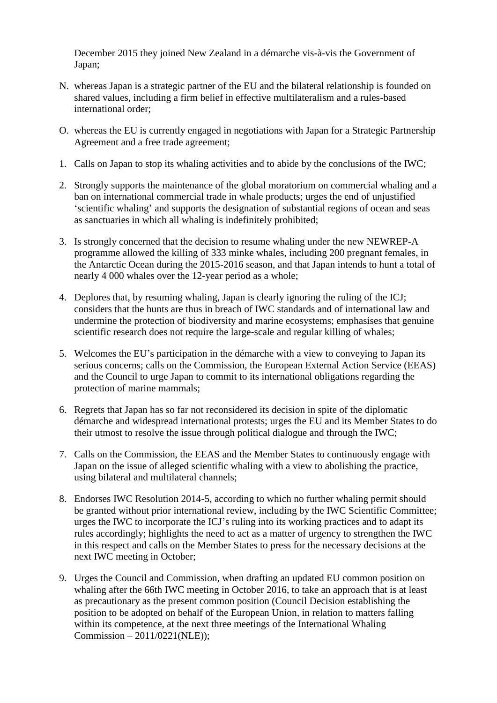December 2015 they joined New Zealand in a démarche vis-à-vis the Government of Japan;

- N. whereas Japan is a strategic partner of the EU and the bilateral relationship is founded on shared values, including a firm belief in effective multilateralism and a rules-based international order;
- O. whereas the EU is currently engaged in negotiations with Japan for a Strategic Partnership Agreement and a free trade agreement;
- 1. Calls on Japan to stop its whaling activities and to abide by the conclusions of the IWC;
- 2. Strongly supports the maintenance of the global moratorium on commercial whaling and a ban on international commercial trade in whale products; urges the end of unjustified 'scientific whaling' and supports the designation of substantial regions of ocean and seas as sanctuaries in which all whaling is indefinitely prohibited;
- 3. Is strongly concerned that the decision to resume whaling under the new NEWREP-A programme allowed the killing of 333 minke whales, including 200 pregnant females, in the Antarctic Ocean during the 2015-2016 season, and that Japan intends to hunt a total of nearly 4 000 whales over the 12-year period as a whole;
- 4. Deplores that, by resuming whaling, Japan is clearly ignoring the ruling of the ICJ; considers that the hunts are thus in breach of IWC standards and of international law and undermine the protection of biodiversity and marine ecosystems; emphasises that genuine scientific research does not require the large-scale and regular killing of whales;
- 5. Welcomes the EU's participation in the démarche with a view to conveying to Japan its serious concerns; calls on the Commission, the European External Action Service (EEAS) and the Council to urge Japan to commit to its international obligations regarding the protection of marine mammals;
- 6. Regrets that Japan has so far not reconsidered its decision in spite of the diplomatic démarche and widespread international protests; urges the EU and its Member States to do their utmost to resolve the issue through political dialogue and through the IWC;
- 7. Calls on the Commission, the EEAS and the Member States to continuously engage with Japan on the issue of alleged scientific whaling with a view to abolishing the practice, using bilateral and multilateral channels;
- 8. Endorses IWC Resolution 2014-5, according to which no further whaling permit should be granted without prior international review, including by the IWC Scientific Committee; urges the IWC to incorporate the ICJ's ruling into its working practices and to adapt its rules accordingly; highlights the need to act as a matter of urgency to strengthen the IWC in this respect and calls on the Member States to press for the necessary decisions at the next IWC meeting in October;
- 9. Urges the Council and Commission, when drafting an updated EU common position on whaling after the 66th IWC meeting in October 2016, to take an approach that is at least as precautionary as the present common position (Council Decision establishing the position to be adopted on behalf of the European Union, in relation to matters falling within its competence, at the next three meetings of the International Whaling Commission – 2011/0221(NLE));